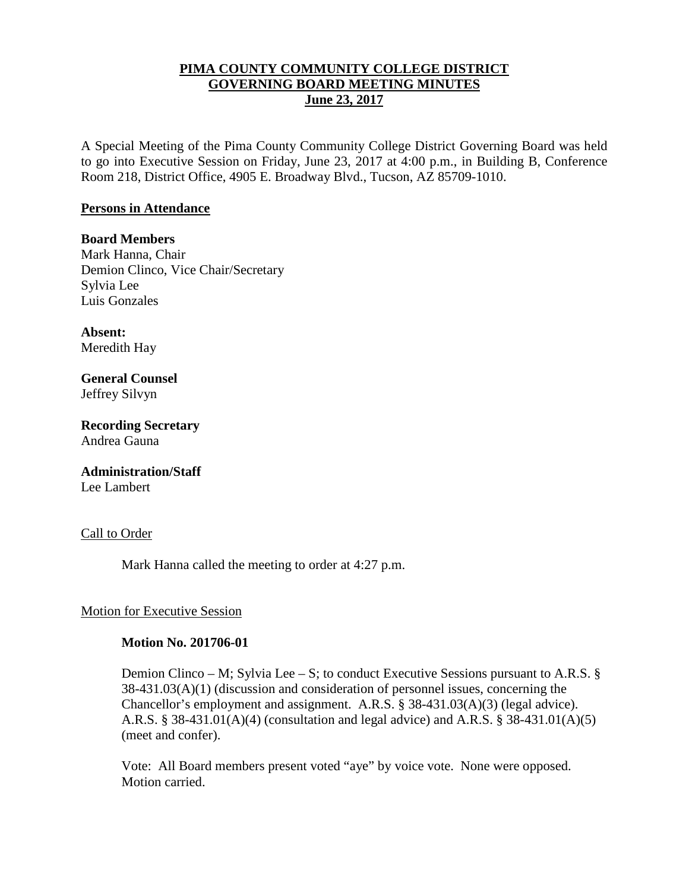## **PIMA COUNTY COMMUNITY COLLEGE DISTRICT GOVERNING BOARD MEETING MINUTES June 23, 2017**

A Special Meeting of the Pima County Community College District Governing Board was held to go into Executive Session on Friday, June 23, 2017 at 4:00 p.m., in Building B, Conference Room 218, District Office, 4905 E. Broadway Blvd., Tucson, AZ 85709-1010.

### **Persons in Attendance**

**Board Members** Mark Hanna, Chair Demion Clinco, Vice Chair/Secretary Sylvia Lee Luis Gonzales

**Absent:** Meredith Hay

**General Counsel**  Jeffrey Silvyn

**Recording Secretary** Andrea Gauna

**Administration/Staff** Lee Lambert

Call to Order

Mark Hanna called the meeting to order at 4:27 p.m.

## Motion for Executive Session

#### **Motion No. 201706-01**

Demion Clinco – M; Sylvia Lee – S; to conduct Executive Sessions pursuant to A.R.S. § 38-431.03(A)(1) (discussion and consideration of personnel issues, concerning the Chancellor's employment and assignment. A.R.S. § 38-431.03(A)(3) (legal advice). A.R.S. § 38-431.01(A)(4) (consultation and legal advice) and A.R.S. § 38-431.01(A)(5) (meet and confer).

Vote: All Board members present voted "aye" by voice vote. None were opposed. Motion carried.